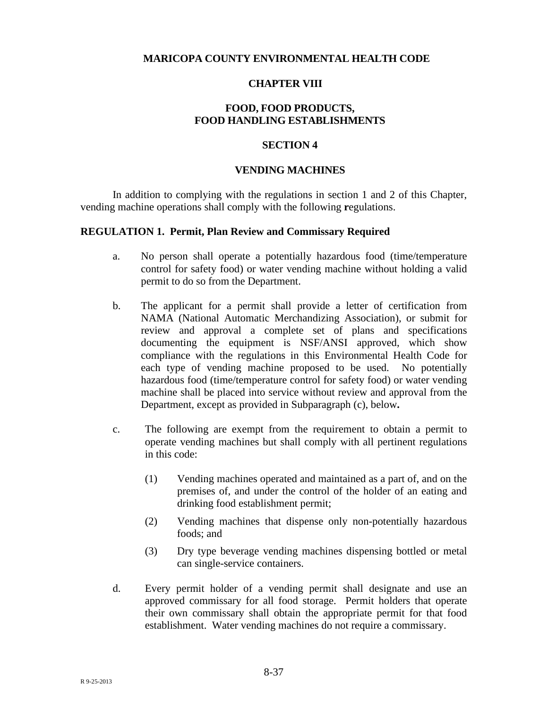## **MARICOPA COUNTY ENVIRONMENTAL HEALTH CODE**

#### **CHAPTER VIII**

## **FOOD, FOOD PRODUCTS, FOOD HANDLING ESTABLISHMENTS**

#### **SECTION 4**

#### **VENDING MACHINES**

In addition to complying with the regulations in section 1 and 2 of this Chapter, vending machine operations shall comply with the following **r**egulations.

#### **REGULATION 1. Permit, Plan Review and Commissary Required**

- a. No person shall operate a potentially hazardous food (time/temperature control for safety food) or water vending machine without holding a valid permit to do so from the Department.
- b. The applicant for a permit shall provide a letter of certification from NAMA (National Automatic Merchandizing Association), or submit for review and approval a complete set of plans and specifications documenting the equipment is NSF/ANSI approved, which show compliance with the regulations in this Environmental Health Code for each type of vending machine proposed to be used. No potentially hazardous food (time/temperature control for safety food) or water vending machine shall be placed into service without review and approval from the Department, except as provided in Subparagraph (c), below**.**
- c. The following are exempt from the requirement to obtain a permit to operate vending machines but shall comply with all pertinent regulations in this code:
	- (1) Vending machines operated and maintained as a part of, and on the premises of, and under the control of the holder of an eating and drinking food establishment permit;
	- (2) Vending machines that dispense only non-potentially hazardous foods; and
	- (3) Dry type beverage vending machines dispensing bottled or metal can single-service containers.
- d. Every permit holder of a vending permit shall designate and use an approved commissary for all food storage. Permit holders that operate their own commissary shall obtain the appropriate permit for that food establishment. Water vending machines do not require a commissary.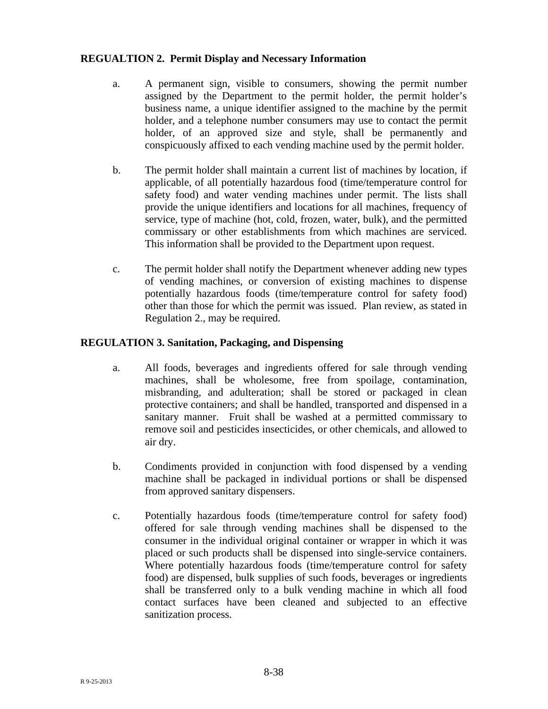# **REGUALTION 2. Permit Display and Necessary Information**

- a. A permanent sign, visible to consumers, showing the permit number assigned by the Department to the permit holder, the permit holder's business name, a unique identifier assigned to the machine by the permit holder, and a telephone number consumers may use to contact the permit holder, of an approved size and style, shall be permanently and conspicuously affixed to each vending machine used by the permit holder.
- b. The permit holder shall maintain a current list of machines by location, if applicable, of all potentially hazardous food (time/temperature control for safety food) and water vending machines under permit. The lists shall provide the unique identifiers and locations for all machines, frequency of service, type of machine (hot, cold, frozen, water, bulk), and the permitted commissary or other establishments from which machines are serviced. This information shall be provided to the Department upon request.
- c. The permit holder shall notify the Department whenever adding new types of vending machines, or conversion of existing machines to dispense potentially hazardous foods (time/temperature control for safety food) other than those for which the permit was issued. Plan review, as stated in Regulation 2., may be required.

# **REGULATION 3. Sanitation, Packaging, and Dispensing**

- a. All foods, beverages and ingredients offered for sale through vending machines, shall be wholesome, free from spoilage, contamination, misbranding, and adulteration; shall be stored or packaged in clean protective containers; and shall be handled, transported and dispensed in a sanitary manner. Fruit shall be washed at a permitted commissary to remove soil and pesticides insecticides, or other chemicals, and allowed to air dry.
- b. Condiments provided in conjunction with food dispensed by a vending machine shall be packaged in individual portions or shall be dispensed from approved sanitary dispensers.
- c. Potentially hazardous foods (time/temperature control for safety food) offered for sale through vending machines shall be dispensed to the consumer in the individual original container or wrapper in which it was placed or such products shall be dispensed into single-service containers. Where potentially hazardous foods (time/temperature control for safety food) are dispensed, bulk supplies of such foods, beverages or ingredients shall be transferred only to a bulk vending machine in which all food contact surfaces have been cleaned and subjected to an effective sanitization process.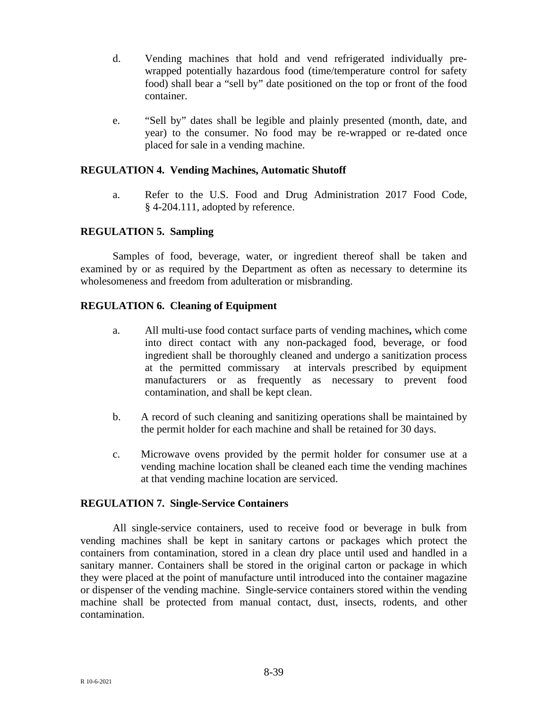- d. Vending machines that hold and vend refrigerated individually prewrapped potentially hazardous food (time/temperature control for safety food) shall bear a "sell by" date positioned on the top or front of the food container.
- e. "Sell by" dates shall be legible and plainly presented (month, date, and year) to the consumer. No food may be re-wrapped or re-dated once placed for sale in a vending machine.

#### **REGULATION 4. Vending Machines, Automatic Shutoff**

a. Refer to the U.S. Food and Drug Administration 2017 Food Code, § 4-204.111, adopted by reference.

## **REGULATION 5. Sampling**

Samples of food, beverage, water, or ingredient thereof shall be taken and examined by or as required by the Department as often as necessary to determine its wholesomeness and freedom from adulteration or misbranding.

#### **REGULATION 6. Cleaning of Equipment**

- a. All multi-use food contact surface parts of vending machines**,** which come into direct contact with any non**-**packaged food, beverage, or food ingredient shall be thoroughly cleaned and undergo a sanitization process at the permitted commissary at intervals prescribed by equipment manufacturers or as frequently as necessary to prevent food contamination, and shall be kept clean.
- b. A record of such cleaning and sanitizing operations shall be maintained by the permit holder for each machine and shall be retained for 30 days.
- c. Microwave ovens provided by the permit holder for consumer use at a vending machine location shall be cleaned each time the vending machines at that vending machine location are serviced.

#### **REGULATION 7. Single-Service Containers**

All single-service containers, used to receive food or beverage in bulk from vending machines shall be kept in sanitary cartons or packages which protect the containers from contamination, stored in a clean dry place until used and handled in a sanitary manner. Containers shall be stored in the original carton or package in which they were placed at the point of manufacture until introduced into the container magazine or dispenser of the vending machine. Single-service containers stored within the vending machine shall be protected from manual contact, dust, insects, rodents, and other contamination.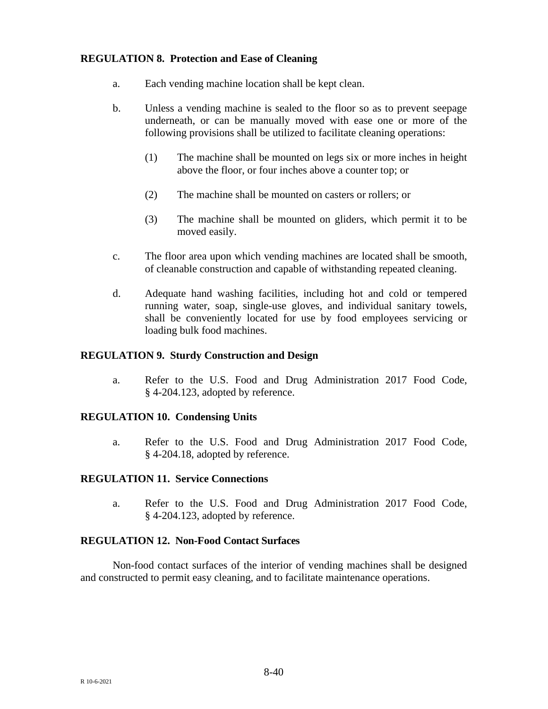# **REGULATION 8. Protection and Ease of Cleaning**

- a. Each vending machine location shall be kept clean.
- b. Unless a vending machine is sealed to the floor so as to prevent seepage underneath, or can be manually moved with ease one or more of the following provisions shall be utilized to facilitate cleaning operations:
	- (1) The machine shall be mounted on legs six or more inches in height above the floor, or four inches above a counter top; or
	- (2) The machine shall be mounted on casters or rollers; or
	- (3) The machine shall be mounted on gliders, which permit it to be moved easily.
- c. The floor area upon which vending machines are located shall be smooth, of cleanable construction and capable of withstanding repeated cleaning.
- d. Adequate hand washing facilities, including hot and cold or tempered running water, soap, single-use gloves, and individual sanitary towels, shall be conveniently located for use by food employees servicing or loading bulk food machines.

#### **REGULATION 9. Sturdy Construction and Design**

a. Refer to the U.S. Food and Drug Administration 2017 Food Code, § 4-204.123, adopted by reference.

#### **REGULATION 10. Condensing Units**

a. Refer to the U.S. Food and Drug Administration 2017 Food Code, § 4-204.18, adopted by reference.

#### **REGULATION 11. Service Connections**

a. Refer to the U.S. Food and Drug Administration 2017 Food Code, § 4-204.123, adopted by reference.

#### **REGULATION 12. Non-Food Contact Surfaces**

Non-food contact surfaces of the interior of vending machines shall be designed and constructed to permit easy cleaning, and to facilitate maintenance operations.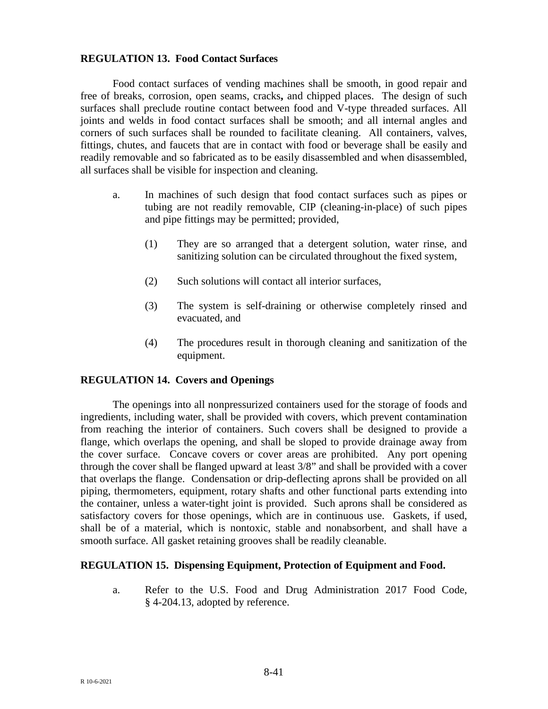### **REGULATION 13. Food Contact Surfaces**

Food contact surfaces of vending machines shall be smooth, in good repair and free of breaks, corrosion, open seams, cracks**,** and chipped places. The design of such surfaces shall preclude routine contact between food and V-type threaded surfaces. All joints and welds in food contact surfaces shall be smooth; and all internal angles and corners of such surfaces shall be rounded to facilitate cleaning. All containers, valves, fittings, chutes, and faucets that are in contact with food or beverage shall be easily and readily removable and so fabricated as to be easily disassembled and when disassembled, all surfaces shall be visible for inspection and cleaning.

- a. In machines of such design that food contact surfaces such as pipes or tubing are not readily removable, CIP (cleaning-in-place) of such pipes and pipe fittings may be permitted; provided,
	- (1) They are so arranged that a detergent solution, water rinse, and sanitizing solution can be circulated throughout the fixed system,
	- (2) Such solutions will contact all interior surfaces,
	- (3) The system is self-draining or otherwise completely rinsed and evacuated, and
	- (4) The procedures result in thorough cleaning and sanitization of the equipment.

## **REGULATION 14. Covers and Openings**

The openings into all nonpressurized containers used for the storage of foods and ingredients, including water, shall be provided with covers, which prevent contamination from reaching the interior of containers. Such covers shall be designed to provide a flange, which overlaps the opening, and shall be sloped to provide drainage away from the cover surface. Concave covers or cover areas are prohibited. Any port opening through the cover shall be flanged upward at least 3/8" and shall be provided with a cover that overlaps the flange. Condensation or drip-deflecting aprons shall be provided on all piping, thermometers, equipment, rotary shafts and other functional parts extending into the container, unless a water-tight joint is provided. Such aprons shall be considered as satisfactory covers for those openings, which are in continuous use. Gaskets, if used, shall be of a material, which is nontoxic, stable and nonabsorbent, and shall have a smooth surface. All gasket retaining grooves shall be readily cleanable.

## **REGULATION 15. Dispensing Equipment, Protection of Equipment and Food.**

a. Refer to the U.S. Food and Drug Administration 2017 Food Code, § 4-204.13, adopted by reference.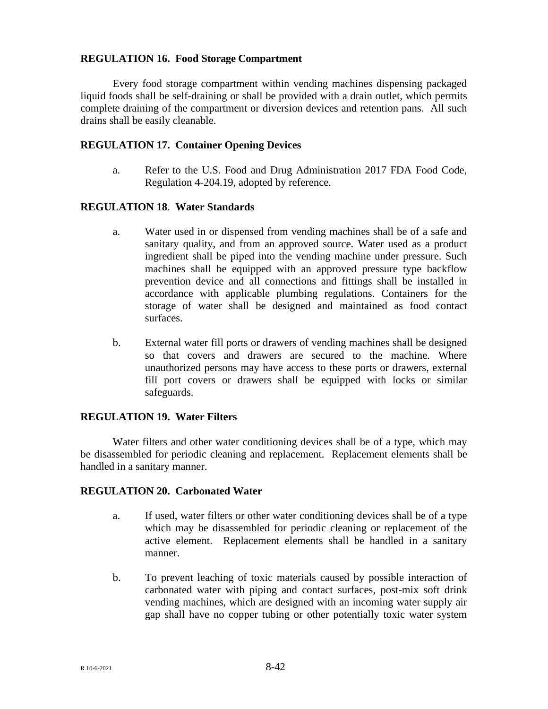#### **REGULATION 16. Food Storage Compartment**

Every food storage compartment within vending machines dispensing packaged liquid foods shall be self-draining or shall be provided with a drain outlet, which permits complete draining of the compartment or diversion devices and retention pans. All such drains shall be easily cleanable.

#### **REGULATION 17. Container Opening Devices**

a. Refer to the U.S. Food and Drug Administration 2017 FDA Food Code, Regulation 4-204.19, adopted by reference.

#### **REGULATION 18**. **Water Standards**

- a. Water used in or dispensed from vending machines shall be of a safe and sanitary quality, and from an approved source. Water used as a product ingredient shall be piped into the vending machine under pressure. Such machines shall be equipped with an approved pressure type backflow prevention device and all connections and fittings shall be installed in accordance with applicable plumbing regulations. Containers for the storage of water shall be designed and maintained as food contact surfaces.
- b. External water fill ports or drawers of vending machines shall be designed so that covers and drawers are secured to the machine. Where unauthorized persons may have access to these ports or drawers, external fill port covers or drawers shall be equipped with locks or similar safeguards.

## **REGULATION 19. Water Filters**

Water filters and other water conditioning devices shall be of a type, which may be disassembled for periodic cleaning and replacement. Replacement elements shall be handled in a sanitary manner.

#### **REGULATION 20. Carbonated Water**

- a. If used, water filters or other water conditioning devices shall be of a type which may be disassembled for periodic cleaning or replacement of the active element. Replacement elements shall be handled in a sanitary manner.
- b. To prevent leaching of toxic materials caused by possible interaction of carbonated water with piping and contact surfaces, post-mix soft drink vending machines, which are designed with an incoming water supply air gap shall have no copper tubing or other potentially toxic water system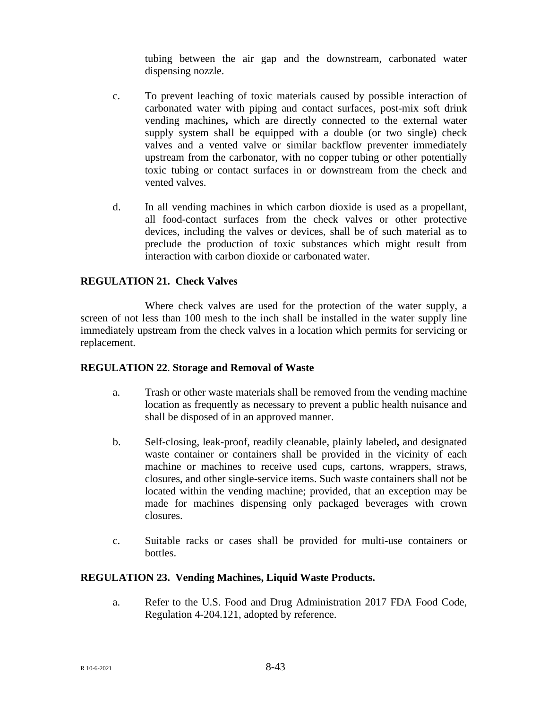tubing between the air gap and the downstream, carbonated water dispensing nozzle.

- c. To prevent leaching of toxic materials caused by possible interaction of carbonated water with piping and contact surfaces, post-mix soft drink vending machines**,** which are directly connected to the external water supply system shall be equipped with a double (or two single) check valves and a vented valve or similar backflow preventer immediately upstream from the carbonator, with no copper tubing or other potentially toxic tubing or contact surfaces in or downstream from the check and vented valves.
- d. In all vending machines in which carbon dioxide is used as a propellant, all food-contact surfaces from the check valves or other protective devices, including the valves or devices, shall be of such material as to preclude the production of toxic substances which might result from interaction with carbon dioxide or carbonated water.

## **REGULATION 21. Check Valves**

Where check valves are used for the protection of the water supply, a screen of not less than 100 mesh to the inch shall be installed in the water supply line immediately upstream from the check valves in a location which permits for servicing or replacement.

## **REGULATION 22**. **Storage and Removal of Waste**

- a. Trash or other waste materials shall be removed from the vending machine location as frequently as necessary to prevent a public health nuisance and shall be disposed of in an approved manner.
- b. Self-closing, leak-proof, readily cleanable, plainly labeled**,** and designated waste container or containers shall be provided in the vicinity of each machine or machines to receive used cups, cartons, wrappers, straws, closures, and other single-service items. Such waste containers shall not be located within the vending machine; provided, that an exception may be made for machines dispensing only packaged beverages with crown closures.
- c. Suitable racks or cases shall be provided for multi-use containers or bottles.

## **REGULATION 23. Vending Machines, Liquid Waste Products.**

a. Refer to the U.S. Food and Drug Administration 2017 FDA Food Code, Regulation 4-204.121, adopted by reference.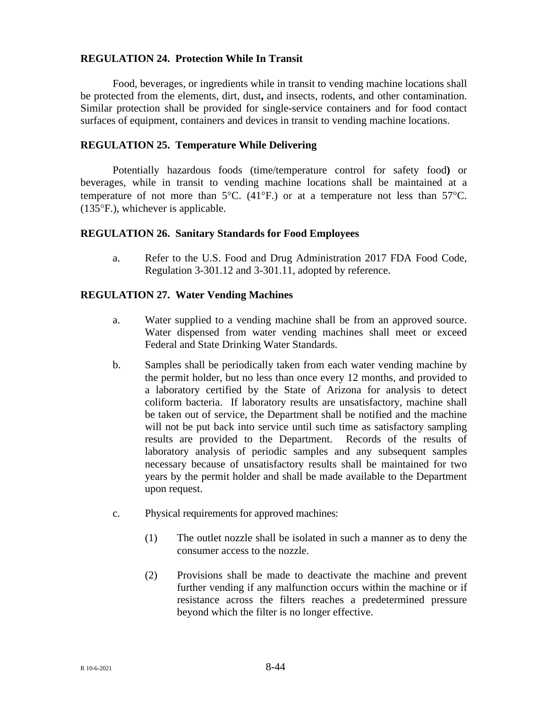## **REGULATION 24. Protection While In Transit**

Food, beverages, or ingredients while in transit to vending machine locations shall be protected from the elements, dirt, dust**,** and insects, rodents, and other contamination. Similar protection shall be provided for single-service containers and for food contact surfaces of equipment, containers and devices in transit to vending machine locations.

#### **REGULATION 25. Temperature While Delivering**

Potentially hazardous foods (time/temperature control for safety food**)** or beverages, while in transit to vending machine locations shall be maintained at a temperature of not more than  $5^{\circ}$ C. (41°F.) or at a temperature not less than  $57^{\circ}$ C. (135°F.), whichever is applicable.

#### **REGULATION 26. Sanitary Standards for Food Employees**

a. Refer to the U.S. Food and Drug Administration 2017 FDA Food Code, Regulation 3-301.12 and 3-301.11, adopted by reference.

#### **REGULATION 27. Water Vending Machines**

- a. Water supplied to a vending machine shall be from an approved source. Water dispensed from water vending machines shall meet or exceed Federal and State Drinking Water Standards.
- b. Samples shall be periodically taken from each water vending machine by the permit holder, but no less than once every 12 months, and provided to a laboratory certified by the State of Arizona for analysis to detect coliform bacteria. If laboratory results are unsatisfactory, machine shall be taken out of service, the Department shall be notified and the machine will not be put back into service until such time as satisfactory sampling results are provided to the Department. Records of the results of laboratory analysis of periodic samples and any subsequent samples necessary because of unsatisfactory results shall be maintained for two years by the permit holder and shall be made available to the Department upon request.
- c. Physical requirements for approved machines:
	- (1) The outlet nozzle shall be isolated in such a manner as to deny the consumer access to the nozzle.
	- (2) Provisions shall be made to deactivate the machine and prevent further vending if any malfunction occurs within the machine or if resistance across the filters reaches a predetermined pressure beyond which the filter is no longer effective.